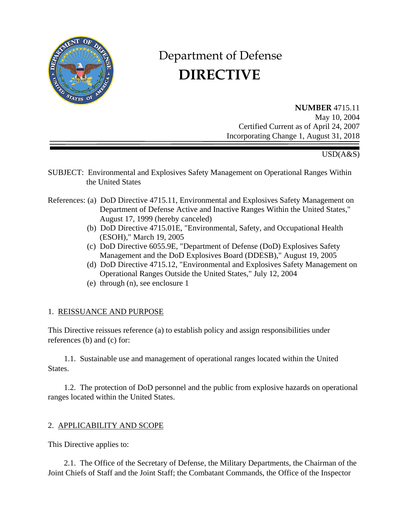

# Department of Defense  **DIRECTIVE**

**NUMBER** 4715.11 May 10, 2004 Certified Current as of April 24, 2007 Incorporating Change 1, August 31, 2018

# USD(A&S)

- SUBJECT: Environmental and Explosives Safety Management on Operational Ranges Within the United States
- References: (a) DoD Directive 4715.11, Environmental and Explosives Safety Management on Department of Defense Active and Inactive Ranges Within the United States," August 17, 1999 (hereby canceled)
	- (b) DoD Directive 4715.01E, "Environmental, Safety, and Occupational Health (ESOH)," March 19, 2005
	- (c) DoD Directive 6055.9E, "Department of Defense (DoD) Explosives Safety Management and the DoD Explosives Board (DDESB)," August 19, 2005
	- (d) DoD Directive 4715.12, "Environmental and Explosives Safety Management on Operational Ranges Outside the United States," July 12, 2004
	- (e) through (n), see enclosure 1

## 1. REISSUANCE AND PURPOSE

This Directive reissues reference (a) to establish policy and assign responsibilities under references (b) and (c) for:

1.1. Sustainable use and management of operational ranges located within the United States.

1.2. The protection of DoD personnel and the public from explosive hazards on operational ranges located within the United States.

## 2. APPLICABILITY AND SCOPE

This Directive applies to:

2.1. The Office of the Secretary of Defense, the Military Departments, the Chairman of the Joint Chiefs of Staff and the Joint Staff; the Combatant Commands, the Office of the Inspector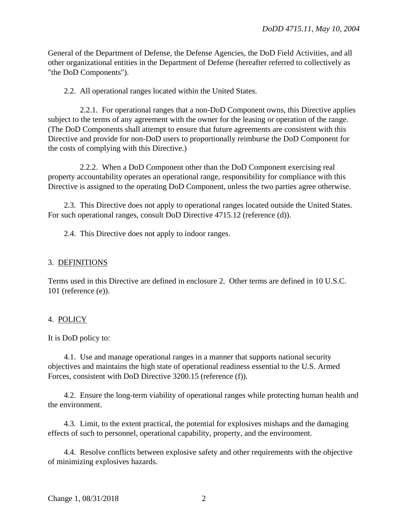General of the Department of Defense, the Defense Agencies, the DoD Field Activities, and all other organizational entities in the Department of Defense (hereafter referred to collectively as "the DoD Components").

2.2. All operational ranges located within the United States.

2.2.1. For operational ranges that a non-DoD Component owns, this Directive applies subject to the terms of any agreement with the owner for the leasing or operation of the range. (The DoD Components shall attempt to ensure that future agreements are consistent with this Directive and provide for non-DoD users to proportionally reimburse the DoD Component for the costs of complying with this Directive.)

2.2.2. When a DoD Component other than the DoD Component exercising real property accountability operates an operational range, responsibility for compliance with this Directive is assigned to the operating DoD Component, unless the two parties agree otherwise.

2.3. This Directive does not apply to operational ranges located outside the United States. For such operational ranges, consult DoD Directive 4715.12 (reference (d)).

2.4. This Directive does not apply to indoor ranges.

#### 3. DEFINITIONS

Terms used in this Directive are defined in enclosure 2. Other terms are defined in 10 U.S.C. 101 (reference (e)).

#### 4. POLICY

It is DoD policy to:

4.1. Use and manage operational ranges in a manner that supports national security objectives and maintains the high state of operational readiness essential to the U.S. Armed Forces, consistent with DoD Directive 3200.15 (reference (f)).

4.2. Ensure the long-term viability of operational ranges while protecting human health and the environment.

4.3. Limit, to the extent practical, the potential for explosives mishaps and the damaging effects of such to personnel, operational capability, property, and the environment.

4.4. Resolve conflicts between explosive safety and other requirements with the objective of minimizing explosives hazards.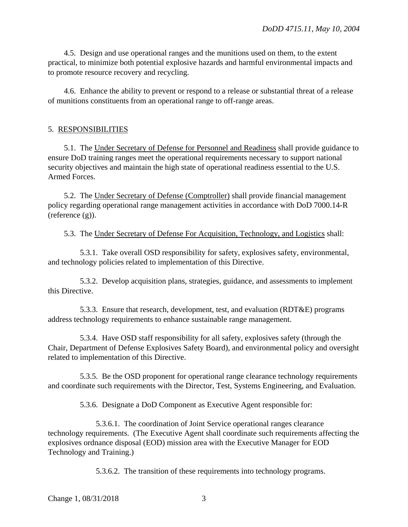4.5. Design and use operational ranges and the munitions used on them, to the extent practical, to minimize both potential explosive hazards and harmful environmental impacts and to promote resource recovery and recycling.

4.6. Enhance the ability to prevent or respond to a release or substantial threat of a release of munitions constituents from an operational range to off-range areas.

#### 5. RESPONSIBILITIES

5.1. The Under Secretary of Defense for Personnel and Readiness shall provide guidance to ensure DoD training ranges meet the operational requirements necessary to support national security objectives and maintain the high state of operational readiness essential to the U.S. Armed Forces.

5.2. The Under Secretary of Defense (Comptroller) shall provide financial management policy regarding operational range management activities in accordance with DoD 7000.14-R (reference (g)).

5.3. The Under Secretary of Defense For Acquisition, Technology, and Logistics shall:

5.3.1. Take overall OSD responsibility for safety, explosives safety, environmental, and technology policies related to implementation of this Directive.

5.3.2. Develop acquisition plans, strategies, guidance, and assessments to implement this Directive.

5.3.3. Ensure that research, development, test, and evaluation (RDT&E) programs address technology requirements to enhance sustainable range management.

5.3.4. Have OSD staff responsibility for all safety, explosives safety (through the Chair, Department of Defense Explosives Safety Board), and environmental policy and oversight related to implementation of this Directive.

5.3.5. Be the OSD proponent for operational range clearance technology requirements and coordinate such requirements with the Director, Test, Systems Engineering, and Evaluation.

5.3.6. Designate a DoD Component as Executive Agent responsible for:

5.3.6.1. The coordination of Joint Service operational ranges clearance technology requirements. (The Executive Agent shall coordinate such requirements affecting the explosives ordnance disposal (EOD) mission area with the Executive Manager for EOD Technology and Training.)

5.3.6.2. The transition of these requirements into technology programs.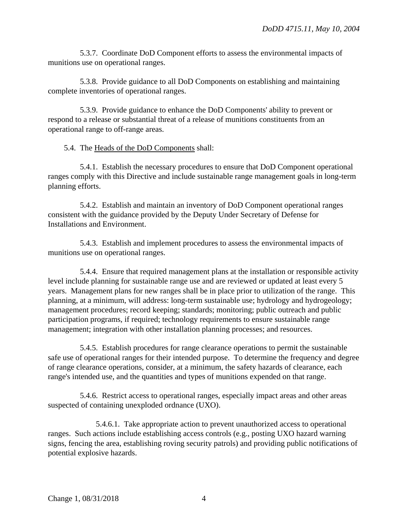5.3.7. Coordinate DoD Component efforts to assess the environmental impacts of munitions use on operational ranges.

5.3.8. Provide guidance to all DoD Components on establishing and maintaining complete inventories of operational ranges.

5.3.9. Provide guidance to enhance the DoD Components' ability to prevent or respond to a release or substantial threat of a release of munitions constituents from an operational range to off-range areas.

# 5.4. The Heads of the DoD Components shall:

5.4.1. Establish the necessary procedures to ensure that DoD Component operational ranges comply with this Directive and include sustainable range management goals in long-term planning efforts.

5.4.2. Establish and maintain an inventory of DoD Component operational ranges consistent with the guidance provided by the Deputy Under Secretary of Defense for Installations and Environment.

5.4.3. Establish and implement procedures to assess the environmental impacts of munitions use on operational ranges.

5.4.4. Ensure that required management plans at the installation or responsible activity level include planning for sustainable range use and are reviewed or updated at least every 5 years. Management plans for new ranges shall be in place prior to utilization of the range. This planning, at a minimum, will address: long-term sustainable use; hydrology and hydrogeology; management procedures; record keeping; standards; monitoring; public outreach and public participation programs, if required; technology requirements to ensure sustainable range management; integration with other installation planning processes; and resources.

5.4.5. Establish procedures for range clearance operations to permit the sustainable safe use of operational ranges for their intended purpose. To determine the frequency and degree of range clearance operations, consider, at a minimum, the safety hazards of clearance, each range's intended use, and the quantities and types of munitions expended on that range.

5.4.6. Restrict access to operational ranges, especially impact areas and other areas suspected of containing unexploded ordnance (UXO).

5.4.6.1. Take appropriate action to prevent unauthorized access to operational ranges. Such actions include establishing access controls (e.g., posting UXO hazard warning signs, fencing the area, establishing roving security patrols) and providing public notifications of potential explosive hazards.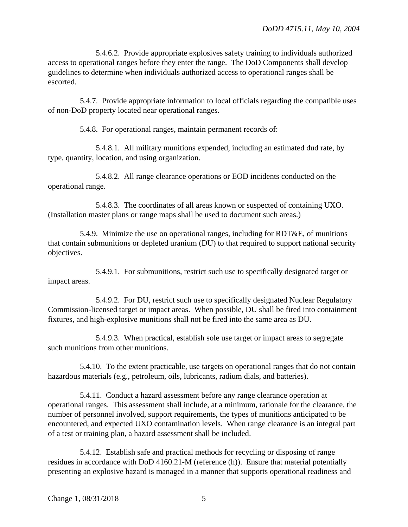5.4.6.2. Provide appropriate explosives safety training to individuals authorized access to operational ranges before they enter the range. The DoD Components shall develop guidelines to determine when individuals authorized access to operational ranges shall be escorted.

5.4.7. Provide appropriate information to local officials regarding the compatible uses of non-DoD property located near operational ranges.

5.4.8. For operational ranges, maintain permanent records of:

5.4.8.1. All military munitions expended, including an estimated dud rate, by type, quantity, location, and using organization.

5.4.8.2. All range clearance operations or EOD incidents conducted on the operational range.

5.4.8.3. The coordinates of all areas known or suspected of containing UXO. (Installation master plans or range maps shall be used to document such areas.)

5.4.9. Minimize the use on operational ranges, including for RDT&E, of munitions that contain submunitions or depleted uranium (DU) to that required to support national security objectives.

5.4.9.1. For submunitions, restrict such use to specifically designated target or impact areas.

5.4.9.2. For DU, restrict such use to specifically designated Nuclear Regulatory Commission-licensed target or impact areas. When possible, DU shall be fired into containment fixtures, and high-explosive munitions shall not be fired into the same area as DU.

5.4.9.3. When practical, establish sole use target or impact areas to segregate such munitions from other munitions.

5.4.10. To the extent practicable, use targets on operational ranges that do not contain hazardous materials (e.g., petroleum, oils, lubricants, radium dials, and batteries).

5.4.11. Conduct a hazard assessment before any range clearance operation at operational ranges. This assessment shall include, at a minimum, rationale for the clearance, the number of personnel involved, support requirements, the types of munitions anticipated to be encountered, and expected UXO contamination levels. When range clearance is an integral part of a test or training plan, a hazard assessment shall be included.

5.4.12. Establish safe and practical methods for recycling or disposing of range residues in accordance with DoD 4160.21-M (reference (h)). Ensure that material potentially presenting an explosive hazard is managed in a manner that supports operational readiness and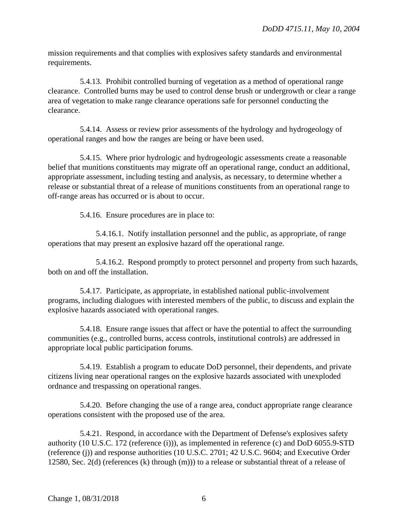mission requirements and that complies with explosives safety standards and environmental requirements.

5.4.13. Prohibit controlled burning of vegetation as a method of operational range clearance. Controlled burns may be used to control dense brush or undergrowth or clear a range area of vegetation to make range clearance operations safe for personnel conducting the clearance.

5.4.14. Assess or review prior assessments of the hydrology and hydrogeology of operational ranges and how the ranges are being or have been used.

5.4.15. Where prior hydrologic and hydrogeologic assessments create a reasonable belief that munitions constituents may migrate off an operational range, conduct an additional, appropriate assessment, including testing and analysis, as necessary, to determine whether a release or substantial threat of a release of munitions constituents from an operational range to off-range areas has occurred or is about to occur.

5.4.16. Ensure procedures are in place to:

5.4.16.1. Notify installation personnel and the public, as appropriate, of range operations that may present an explosive hazard off the operational range.

5.4.16.2. Respond promptly to protect personnel and property from such hazards, both on and off the installation.

5.4.17. Participate, as appropriate, in established national public-involvement programs, including dialogues with interested members of the public, to discuss and explain the explosive hazards associated with operational ranges.

5.4.18. Ensure range issues that affect or have the potential to affect the surrounding communities (e.g., controlled burns, access controls, institutional controls) are addressed in appropriate local public participation forums.

5.4.19. Establish a program to educate DoD personnel, their dependents, and private citizens living near operational ranges on the explosive hazards associated with unexploded ordnance and trespassing on operational ranges.

5.4.20. Before changing the use of a range area, conduct appropriate range clearance operations consistent with the proposed use of the area.

5.4.21. Respond, in accordance with the Department of Defense's explosives safety authority (10 U.S.C. 172 (reference (i))), as implemented in reference (c) and DoD 6055.9-STD (reference (j)) and response authorities (10 U.S.C. 2701; 42 U.S.C. 9604; and Executive Order 12580, Sec. 2(d) (references (k) through (m))) to a release or substantial threat of a release of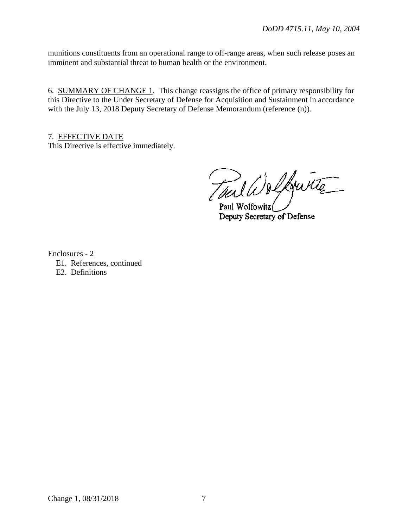munitions constituents from an operational range to off-range areas, when such release poses an imminent and substantial threat to human health or the environment.

6. SUMMARY OF CHANGE 1. This change reassigns the office of primary responsibility for this Directive to the Under Secretary of Defense for Acquisition and Sustainment in accordance with the July 13, 2018 Deputy Secretary of Defense Memorandum (reference (n)).

7. EFFECTIVE DATE This Directive is effective immediately.

Taul W & Lourite

Deputy Secretary of Defense

Enclosures - 2

- E1. References, continued
- E2. Definitions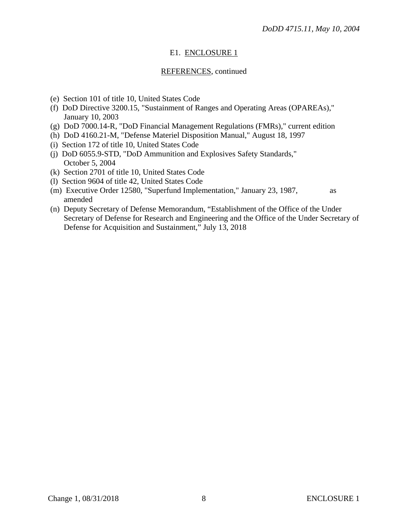# E1. ENCLOSURE 1

# REFERENCES, continued

- (e) Section 101 of title 10, United States Code
- (f) DoD Directive 3200.15, "Sustainment of Ranges and Operating Areas (OPAREAs)," January 10, 2003
- (g) DoD 7000.14-R, "DoD Financial Management Regulations (FMRs)," current edition
- (h) DoD 4160.21-M, "Defense Materiel Disposition Manual," August 18, 1997
- (i) Section 172 of title 10, United States Code
- (j) DoD 6055.9-STD, "DoD Ammunition and Explosives Safety Standards," October 5, 2004
- (k) Section 2701 of title 10, United States Code
- (l) Section 9604 of title 42, United States Code
- (m) Executive Order 12580, "Superfund Implementation," January 23, 1987, as amended
- (n) Deputy Secretary of Defense Memorandum, "Establishment of the Office of the Under Secretary of Defense for Research and Engineering and the Office of the Under Secretary of Defense for Acquisition and Sustainment," July 13, 2018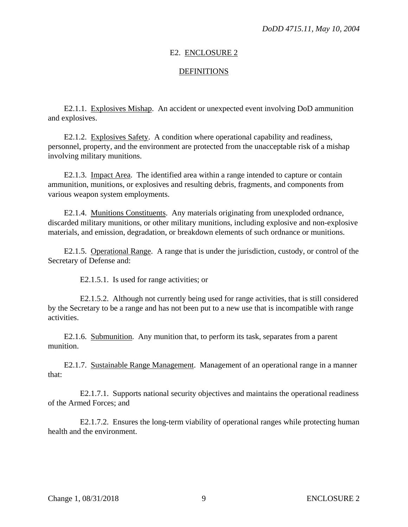### E2. ENCLOSURE 2

### **DEFINITIONS**

E2.1.1. Explosives Mishap. An accident or unexpected event involving DoD ammunition and explosives.

E2.1.2. Explosives Safety. A condition where operational capability and readiness, personnel, property, and the environment are protected from the unacceptable risk of a mishap involving military munitions.

E2.1.3. Impact Area. The identified area within a range intended to capture or contain ammunition, munitions, or explosives and resulting debris, fragments, and components from various weapon system employments.

E2.1.4. Munitions Constituents. Any materials originating from unexploded ordnance, discarded military munitions, or other military munitions, including explosive and non-explosive materials, and emission, degradation, or breakdown elements of such ordnance or munitions.

E2.1.5. Operational Range. A range that is under the jurisdiction, custody, or control of the Secretary of Defense and:

E2.1.5.1. Is used for range activities; or

E2.1.5.2. Although not currently being used for range activities, that is still considered by the Secretary to be a range and has not been put to a new use that is incompatible with range activities.

E2.1.6. Submunition. Any munition that, to perform its task, separates from a parent munition.

E2.1.7. Sustainable Range Management. Management of an operational range in a manner that:

E2.1.7.1. Supports national security objectives and maintains the operational readiness of the Armed Forces; and

E2.1.7.2. Ensures the long-term viability of operational ranges while protecting human health and the environment.